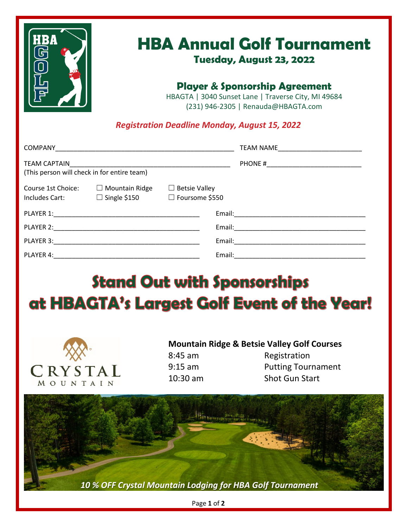

## **HBA Annual Golf Tournament**

#### **Tuesday, August 23, 2022**

### **Player & Sponsorship Agreement**

HBAGTA | 3040 Sunset Lane | Traverse City, MI 49684 (231) 946-2305 | Renauda@HBAGTA.com

#### *Registration Deadline Monday, August 15, 2022*

|                                                                                                                                                                                                                                                         |                                                 | <b>TEAM NAME</b>                                   |  |  |
|---------------------------------------------------------------------------------------------------------------------------------------------------------------------------------------------------------------------------------------------------------|-------------------------------------------------|----------------------------------------------------|--|--|
| <b>TEAM CAPTAIN</b><br>(This person will check in for entire team)                                                                                                                                                                                      |                                                 | PHONE #                                            |  |  |
| Course 1st Choice:<br>Includes Cart:                                                                                                                                                                                                                    | Mountain Ridge<br>$\Box$<br>$\Box$ Single \$150 | <b>Betsie Valley</b><br>$\Box$<br>□ Foursome \$550 |  |  |
| PLAYER 1:                                                                                                                                                                                                                                               |                                                 | Email:                                             |  |  |
| PLAYER 2:<br>the control of the control of the control of the control of the control of the control of the control of the control of the control of the control of the control of the control of the control of the control of the control<br>PLAYER 3: |                                                 | Email:                                             |  |  |
|                                                                                                                                                                                                                                                         |                                                 | Email:                                             |  |  |
| PLAYER 4:                                                                                                                                                                                                                                               |                                                 | Email:                                             |  |  |

# **Stand Out with Sponsorships** at HBAGTA's Largest Golf Event of the Year!



## **Mountain Ridge & Betsie Valley Golf Courses**

8:45 am Registration 9:15 am Putting Tournament 10:30 am Shot Gun Start



Page **1** of **2**